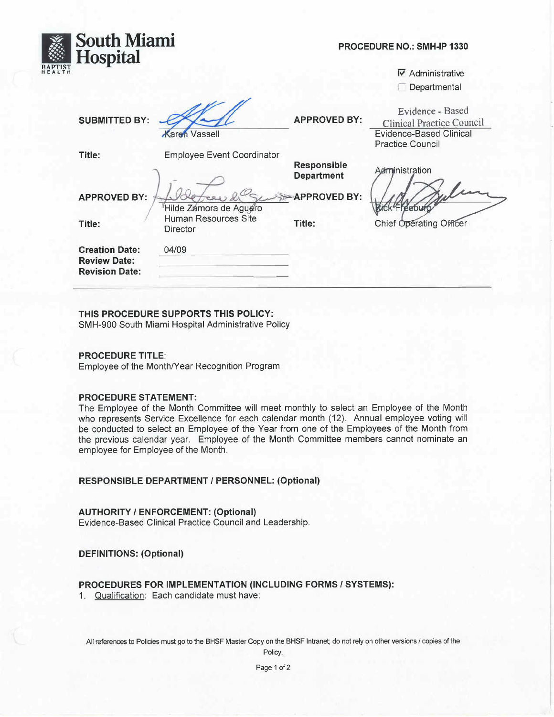| <b>South Miami</b><br>Hospital                                        |                                   | PROCEDURE NO.: SMH-IP 1330              |                                                                                                                   |
|-----------------------------------------------------------------------|-----------------------------------|-----------------------------------------|-------------------------------------------------------------------------------------------------------------------|
|                                                                       |                                   |                                         | $\nabla$ Administrative                                                                                           |
|                                                                       |                                   |                                         | Departmental                                                                                                      |
| <b>SUBMITTED BY:</b>                                                  | <b>Caren</b> Vassell              | <b>APPROVED BY:</b>                     | Evidence - Based<br><b>Clinical Practice Council</b><br><b>Evidence-Based Clinical</b><br><b>Practice Council</b> |
| Title:                                                                | <b>Employee Event Coordinator</b> |                                         |                                                                                                                   |
|                                                                       |                                   | <b>Responsible</b><br><b>Department</b> | Administration                                                                                                    |
| <b>APPROVED BY:</b>                                                   | Hilde Zamora de Aguero            | <b>APPROVED BY:</b>                     | -reebu                                                                                                            |
| Title:                                                                | Human Resources Site<br>Director  | Title:                                  | Chief Operating Officer                                                                                           |
| <b>Creation Date:</b><br><b>Review Date:</b><br><b>Revision Date:</b> | 04/09                             |                                         |                                                                                                                   |

## THIS PROCEDURE SUPPORTS THIS POLICY:

SMH-900 South Miami Hospital Administrative Policy

## **PROCEDURE TITLE:**

Employee of the Month/Year Recognition Program

#### **PROCEDURE STATEMENT:**

The Employee of the Month Committee will meet monthly to select an Employee of the Month who represents Service Excellence for each calendar month (12). Annual employee voting will be conducted to select an Employee of the Year from one of the Employees of the Month from the previous calendar year. Employee of the Month Committee members cannot nominate an employee for Employee of the Month.

## **RESPONSIBLE DEPARTMENT / PERSONNEL: (Optional)**

#### **AUTHORITY / ENFORCEMENT: (Optional)**

Evidence-Based Clinical Practice Council and Leadership.

# **DEFINITIONS: (Optional)**

## PROCEDURES FOR IMPLEMENTATION (INCLUDING FORMS / SYSTEMS):

1. Qualification: Each candidate must have:

All references to Policies must go to the BHSF Master Copy on the BHSF Intranet; do not rely on other versions / copies of the

Policy.